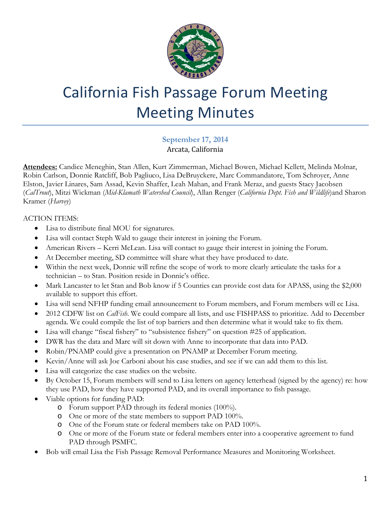

# California Fish Passage Forum Meeting Meeting Minutes

**September 17, 2014** Arcata, California

**Attendees:** Candice Meneghin, Stan Allen, Kurt Zimmerman, Michael Bowen, Michael Kellett, Melinda Molnar, Robin Carlson, Donnie Ratcliff, Bob Pagliuco, Lisa DeBruyckere, Marc Commandatore, Tom Schroyer, Anne Elston, Javier Linares, Sam Assad, Kevin Shaffer, Leah Mahan, and Frank Meraz, and guests Stacy Jacobsen (*CalTrout*), Mitzi Wickman (*Mid-Klamath Watershed Council*), Allan Renger (*California Dept. Fish and Wildlife*)and Sharon Kramer (*Harvey*)

#### ACTION ITEMS:

- Lisa to distribute final MOU for signatures.
- Lisa will contact Steph Wald to gauge their interest in joining the Forum.
- American Rivers Kerri McLean. Lisa will contact to gauge their interest in joining the Forum.
- At December meeting, SD committee will share what they have produced to date.
- Within the next week, Donnie will refine the scope of work to more clearly articulate the tasks for a technician – to Stan. Position reside in Donnie's office.
- Mark Lancaster to let Stan and Bob know if 5 Counties can provide cost data for APASS, using the \$2,000 available to support this effort.
- Lisa will send NFHP funding email announcement to Forum members, and Forum members will cc Lisa.
- 2012 CDFW list on *CalFish*. We could compare all lists, and use FISHPASS to prioritize. Add to December agenda. We could compile the list of top barriers and then determine what it would take to fix them.
- Lisa will change "fiscal fishery" to "subsistence fishery" on question #25 of application.
- DWR has the data and Marc will sit down with Anne to incorporate that data into PAD.
- Robin/PNAMP could give a presentation on PNAMP at December Forum meeting.
- Kevin/Anne will ask Joe Carboni about his case studies, and see if we can add them to this list.
- Lisa will categorize the case studies on the website.
- By October 15, Forum members will send to Lisa letters on agency letterhead (signed by the agency) re: how they use PAD, how they have supported PAD, and its overall importance to fish passage.
- Viable options for funding PAD:
	- o Forum support PAD through its federal monies (100%).
	- o One or more of the state members to support PAD 100%.
	- o One of the Forum state or federal members take on PAD 100%.
	- o One or more of the Forum state or federal members enter into a cooperative agreement to fund PAD through PSMFC.
- Bob will email Lisa the Fish Passage Removal Performance Measures and Monitoring Worksheet.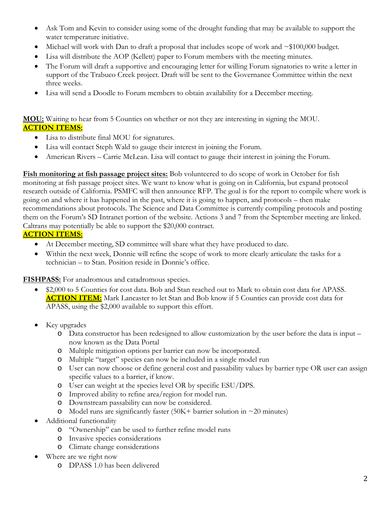- Ask Tom and Kevin to consider using some of the drought funding that may be available to support the water temperature initiative.
- Michael will work with Dan to draft a proposal that includes scope of work and  $\sim $100,000$  budget.
- Lisa will distribute the AOP (Kellett) paper to Forum members with the meeting minutes.
- The Forum will draft a supportive and encouraging letter for willing Forum signatories to write a letter in support of the Trabuco Creek project. Draft will be sent to the Governance Committee within the next three weeks.
- Lisa will send a Doodle to Forum members to obtain availability for a December meeting.

# **MOU:** Waiting to hear from 5 Counties on whether or not they are interesting in signing the MOU. **ACTION ITEMS:**

- Lisa to distribute final MOU for signatures.
- Lisa will contact Steph Wald to gauge their interest in joining the Forum.
- American Rivers Carrie McLean. Lisa will contact to gauge their interest in joining the Forum.

**Fish monitoring at fish passage project sites:** Bob volunteered to do scope of work in October for fish monitoring at fish passage project sites. We want to know what is going on in California, but expand protocol research outside of California. PSMFC will then announce RFP. The goal is for the report to compile where work is going on and where it has happened in the past, where it is going to happen, and protocols – then make recommendations about protocols. The Science and Data Committee is currently compiling protocols and posting them on the Forum's SD Intranet portion of the website. Actions 3 and 7 from the September meeting are linked. Caltrans may potentially be able to support the \$20,000 contract.

# **ACTION ITEMS:**

- At December meeting, SD committee will share what they have produced to date.
- Within the next week, Donnie will refine the scope of work to more clearly articulate the tasks for a technician – to Stan. Position reside in Donnie's office.

**FISHPASS:** For anadromous and catadromous species.

- \$2,000 to 5 Counties for cost data. Bob and Stan reached out to Mark to obtain cost data for APASS. **ACTION ITEM:** Mark Lancaster to let Stan and Bob know if 5 Counties can provide cost data for APASS, using the \$2,000 available to support this effort.
- Key upgrades
	- o Data constructor has been redesigned to allow customization by the user before the data is input now known as the Data Portal
	- o Multiple mitigation options per barrier can now be incorporated.
	- o Multiple "target" species can now be included in a single model run
	- o User can now choose or define general cost and passability values by barrier type OR user can assign specific values to a barrier, if know.
	- o User can weight at the species level OR by specific ESU/DPS.
	- o Improved ability to refine area/region for model run.
	- o Downstream passability can now be considered.
	- o Model runs are significantly faster  $(50K+barrier$  solution in  $\sim$  20 minutes)
- Additional functionality
	- o "Ownership" can be used to further refine model runs
	- o Invasive species considerations
	- o Climate change considerations
- Where are we right now
	- o DPASS 1.0 has been delivered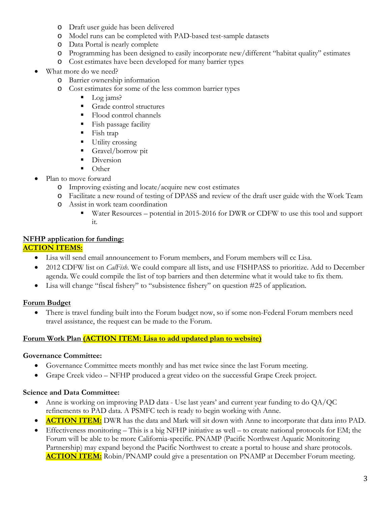- o Draft user guide has been delivered
- o Model runs can be completed with PAD-based test-sample datasets
- o Data Portal is nearly complete
- o Programming has been designed to easily incorporate new/different "habitat quality" estimates
- o Cost estimates have been developed for many barrier types
- What more do we need?
	- o Barrier ownership information
	- o Cost estimates for some of the less common barrier types
		- Log jams?
		- Grade control structures
		- Flood control channels
		- **Fish passage facility**
		- $\blacksquare$  Fish trap
		- **Utility crossing**
		- Gravel/borrow pit
		- Diversion
		- Other
- Plan to move forward
	- o Improving existing and locate/acquire new cost estimates
	- o Facilitate a new round of testing of DPASS and review of the draft user guide with the Work Team
	- o Assist in work team coordination
		- Water Resources potential in 2015-2016 for DWR or CDFW to use this tool and support it.

# **NFHP application for funding:**

# **ACTION ITEMS:**

- Lisa will send email announcement to Forum members, and Forum members will cc Lisa.
- 2012 CDFW list on *CalFish*. We could compare all lists, and use FISHPASS to prioritize. Add to December agenda. We could compile the list of top barriers and then determine what it would take to fix them.
- Lisa will change "fiscal fishery" to "subsistence fishery" on question #25 of application.

# **Forum Budget**

• There is travel funding built into the Forum budget now, so if some non-Federal Forum members need travel assistance, the request can be made to the Forum.

# **Forum Work Plan (ACTION ITEM: Lisa to add updated plan to website)**

# **Governance Committee:**

- Governance Committee meets monthly and has met twice since the last Forum meeting.
- Grape Creek video NFHP produced a great video on the successful Grape Creek project.

# **Science and Data Committee:**

- Anne is working on improving PAD data Use last years' and current year funding to do QA/QC refinements to PAD data. A PSMFC tech is ready to begin working with Anne.
- **ACTION ITEM:** DWR has the data and Mark will sit down with Anne to incorporate that data into PAD.
- Effectiveness monitoring This is a big NFHP initiative as well to create national protocols for EM; the Forum will be able to be more California-specific. PNAMP (Pacific Northwest Aquatic Monitoring Partnership) may expand beyond the Pacific Northwest to create a portal to house and share protocols. **ACTION ITEM:** Robin/PNAMP could give a presentation on PNAMP at December Forum meeting.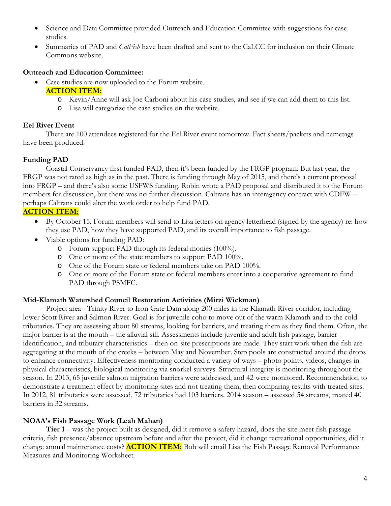- Science and Data Committee provided Outreach and Education Committee with suggestions for case studies.
- Summaries of PAD and *CalFish* have been drafted and sent to the CaLCC for inclusion on their Climate Commons website.

#### **Outreach and Education Committee:**

- Case studies are now uploaded to the Forum website.
	- **ACTION ITEM:**
		- o Kevin/Anne will ask Joe Carboni about his case studies, and see if we can add them to this list.
		- o Lisa will categorize the case studies on the website.

#### **Eel River Event**

There are 100 attendees registered for the Eel River event tomorrow. Fact sheets/packets and nametags have been produced.

# **Funding PAD**

Coastal Conservancy first funded PAD, then it's been funded by the FRGP program. But last year, the FRGP was not rated as high as in the past. There is funding through May of 2015, and there's a current proposal into FRGP – and there's also some USFWS funding. Robin wrote a PAD proposal and distributed it to the Forum members for discussion, but there was no further discussion. Caltrans has an interagency contract with CDFW – perhaps Caltrans could alter the work order to help fund PAD.

# **ACTION ITEM:**

- By October 15, Forum members will send to Lisa letters on agency letterhead (signed by the agency) re: how they use PAD, how they have supported PAD, and its overall importance to fish passage.
- Viable options for funding PAD:
	- o Forum support PAD through its federal monies (100%).
	- o One or more of the state members to support PAD 100%.
	- o One of the Forum state or federal members take on PAD 100%.
	- o One or more of the Forum state or federal members enter into a cooperative agreement to fund PAD through PSMFC.

#### **Mid-Klamath Watershed Council Restoration Activities (Mitzi Wickman)**

Project area - Trinity River to Iron Gate Dam along 200 miles in the Klamath River corridor, including lower Scott River and Salmon River. Goal is for juvenile coho to move out of the warm Klamath and to the cold tributaries. They are assessing about 80 streams, looking for barriers, and treating them as they find them. Often, the major barrier is at the mouth – the alluvial sill. Assessments include juvenile and adult fish passage, barrier identification, and tributary characteristics – then on-site prescriptions are made. They start work when the fish are aggregating at the mouth of the creeks – between May and November. Step pools are constructed around the drops to enhance connectivity. Effectiveness monitoring conducted a variety of ways – photo points, videos, changes in physical characteristics, biological monitoring via snorkel surveys. Structural integrity is monitoring throughout the season. In 2013, 65 juvenile salmon migration barriers were addressed, and 42 were monitored. Recommendation to demonstrate a treatment effect by monitoring sites and not treating them, then comparing results with treated sites. In 2012, 81 tributaries were assessed, 72 tributaries had 103 barriers. 2014 season – assessed 54 streams, treated 40 barriers in 32 streams.

#### **NOAA's Fish Passage Work (Leah Mahan)**

**Tier 1** – was the project built as designed, did it remove a safety hazard, does the site meet fish passage criteria, fish presence/absence upstream before and after the project, did it change recreational opportunities, did it change annual maintenance costs? **ACTION ITEM:** Bob will email Lisa the Fish Passage Removal Performance Measures and Monitoring Worksheet.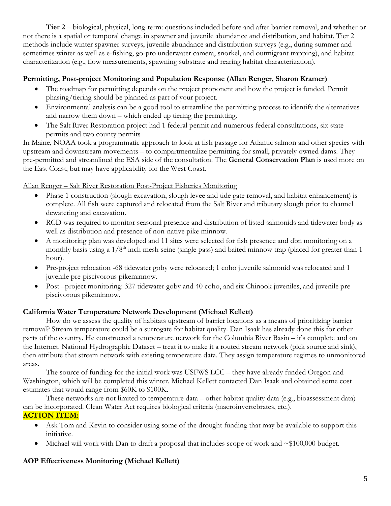**Tier 2** – biological, physical, long-term: questions included before and after barrier removal, and whether or not there is a spatial or temporal change in spawner and juvenile abundance and distribution, and habitat. Tier 2 methods include winter spawner surveys, juvenile abundance and distribution surveys (e.g., during summer and sometimes winter as well as e-fishing, go-pro underwater camera, snorkel, and outmigrant trapping), and habitat characterization (e.g., flow measurements, spawning substrate and rearing habitat characterization).

#### **Permitting, Post-project Monitoring and Population Response (Allan Renger, Sharon Kramer)**

- The roadmap for permitting depends on the project proponent and how the project is funded. Permit phasing/tiering should be planned as part of your project.
- Environmental analysis can be a good tool to streamline the permitting process to identify the alternatives and narrow them down – which ended up tiering the permitting.
- The Salt River Restoration project had 1 federal permit and numerous federal consultations, six state permits and two county permits

In Maine, NOAA took a programmatic approach to look at fish passage for Atlantic salmon and other species with upstream and downstream movements – to compartmentalize permitting for small, privately owned dams. They pre-permitted and streamlined the ESA side of the consultation. The **General Conservation Plan** is used more on the East Coast, but may have applicability for the West Coast.

#### Allan Renger – Salt River Restoration Post-Project Fisheries Monitoring

- Phase 1 construction (slough excavation, slough levee and tide gate removal, and habitat enhancement) is complete. All fish were captured and relocated from the Salt River and tributary slough prior to channel dewatering and excavation.
- RCD was required to monitor seasonal presence and distribution of listed salmonids and tidewater body as well as distribution and presence of non-native pike minnow.
- A monitoring plan was developed and 11 sites were selected for fish presence and dbn monitoring on a monthly basis using a  $1/8<sup>th</sup>$  inch mesh seine (single pass) and baited minnow trap (placed for greater than 1 hour).
- Pre-project relocation -68 tidewater goby were relocated; 1 coho juvenile salmonid was relocated and 1 juvenile pre-piscivorous pikeminnow.
- Post –project monitoring: 327 tidewater goby and 40 coho, and six Chinook juveniles, and juvenile prepiscivorous pikeminnow.

#### **California Water Temperature Network Development (Michael Kellett)**

How do we assess the quality of habitats upstream of barrier locations as a means of prioritizing barrier removal? Stream temperature could be a surrogate for habitat quality. Dan Isaak has already done this for other parts of the country. He constructed a temperature network for the Columbia River Basin – it's complete and on the Internet. National Hydrographic Dataset – treat it to make it a routed stream network (pick source and sink), then attribute that stream network with existing temperature data. They assign temperature regimes to unmonitored areas.

The source of funding for the initial work was USFWS LCC – they have already funded Oregon and Washington, which will be completed this winter. Michael Kellett contacted Dan Isaak and obtained some cost estimates that would range from \$60K to \$100K.

These networks are not limited to temperature data – other habitat quality data (e.g., bioassessment data) can be incorporated. Clean Water Act requires biological criteria (macroinvertebrates, etc.). **ACTION ITEM:**

- Ask Tom and Kevin to consider using some of the drought funding that may be available to support this initiative.
- Michael will work with Dan to draft a proposal that includes scope of work and  $\sim $100,000$  budget.

# **AOP Effectiveness Monitoring (Michael Kellett)**